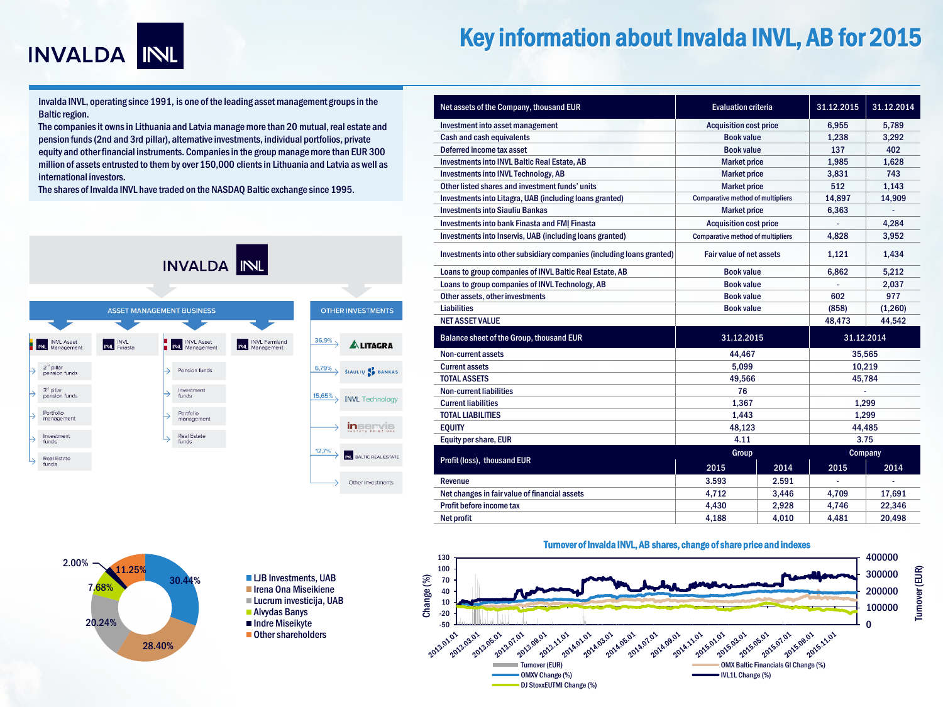

# Key information about Invalda INVL, AB for 2015

Invalda INVL, operating since 1991, is one of the leading asset management groups in the Baltic region.

The companies it owns in Lithuania and Latvia manage more than 20 mutual, real estate and pension funds (2nd and 3rd pillar), alternative investments, individual portfolios, private equity and other financial instruments. Companies in the group manage more than EUR 300 million of assets entrusted to them by over 150,000 clients in Lithuania and Latvia as well as international investors.

The shares of Invalda INVL have traded on the NASDAQ Baltic exchange since 1995.



| Net assets of the Company, thousand EUR                               | <b>Evaluation criteria</b>               |       | 31.12.2015 | 31.12.2014 |
|-----------------------------------------------------------------------|------------------------------------------|-------|------------|------------|
| Investment into asset management                                      | <b>Acquisition cost price</b>            |       | 6.955      | 5.789      |
| Cash and cash equivalents                                             | <b>Book value</b>                        |       | 1.238      | 3.292      |
| Deferred income tax asset                                             | <b>Book value</b>                        |       | 137        | 402        |
| <b>Investments into INVL Baltic Real Estate, AB</b>                   | <b>Market price</b>                      |       | 1.985      | 1.628      |
| <b>Investments into INVL Technology, AB</b>                           | <b>Market price</b>                      |       | 3.831      | 743        |
| Other listed shares and investment funds' units                       | <b>Market price</b>                      |       | 512        | 1.143      |
| Investments into Litagra, UAB (including loans granted)               | <b>Comparative method of multipliers</b> |       | 14,897     | 14,909     |
| <b>Investments into Siauliu Bankas</b>                                | <b>Market price</b>                      |       | 6,363      |            |
| <b>Investments into bank Finasta and FMI Finasta</b>                  | <b>Acquisition cost price</b>            |       |            | 4.284      |
| Investments into Inservis, UAB (including loans granted)              | <b>Comparative method of multipliers</b> |       | 4,828      | 3,952      |
| Investments into other subsidiary companies (including loans granted) | <b>Fair value of net assets</b>          |       | 1.121      | 1,434      |
| Loans to group companies of INVL Baltic Real Estate, AB               | <b>Book value</b>                        |       | 6.862      | 5.212      |
| Loans to group companies of INVL Technology, AB                       | <b>Book value</b>                        |       |            | 2.037      |
| Other assets, other investments                                       | <b>Book value</b>                        |       | 602        | 977        |
| <b>Liabilities</b>                                                    | <b>Book value</b>                        |       | (858)      | (1,260)    |
| <b>NET ASSET VALUE</b>                                                |                                          |       | 48.473     | 44.542     |
| <b>Balance sheet of the Group, thousand EUR</b>                       | 31.12.2015                               |       | 31.12.2014 |            |
| <b>Non-current assets</b>                                             | 44.467                                   |       | 35.565     |            |
| <b>Current assets</b>                                                 | 5.099                                    |       | 10.219     |            |
| <b>TOTAL ASSETS</b>                                                   | 49.566                                   |       | 45.784     |            |
| <b>Non-current liabilities</b>                                        | 76                                       |       |            |            |
| <b>Current liabilities</b>                                            | 1,367                                    |       | 1,299      |            |
| <b>TOTAL LIABILITIES</b>                                              | 1,443                                    |       | 1,299      |            |
| <b>EQUITY</b>                                                         | 48.123                                   |       | 44.485     |            |
| Equity per share, EUR                                                 | 4.11                                     |       | 3.75       |            |
|                                                                       | Group                                    |       | Company    |            |
| Profit (loss), thousand EUR                                           | 2015                                     | 2014  | 2015       | 2014       |
| Revenue                                                               | 3.593                                    | 2.591 |            |            |
| Net changes in fair value of financial assets                         | 4,712                                    | 3,446 | 4,709      | 17,691     |
| Profit before income tax                                              | 4,430                                    | 2,928 | 4,746      | 22,346     |
| Net profit                                                            | 4,188                                    | 4,010 | 4,481      | 20,498     |